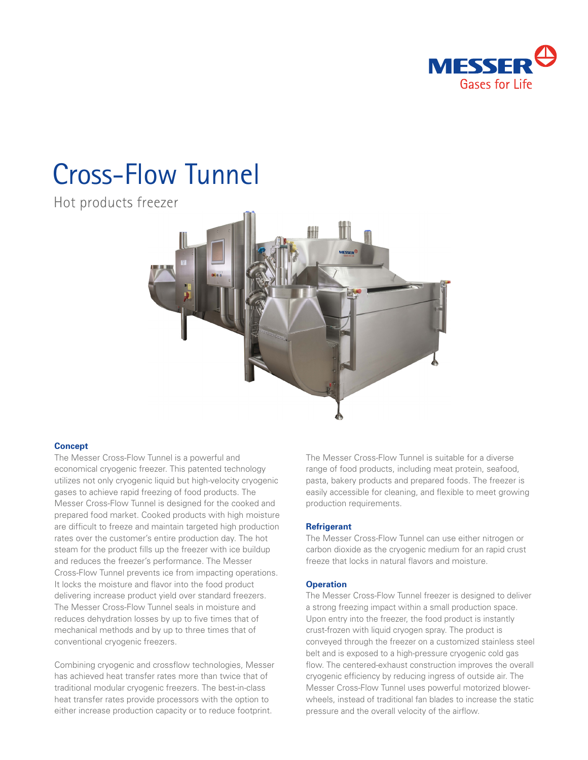

# Cross-Flow Tunnel

Hot products freezer



### **Concept**

The Messer Cross-Flow Tunnel is a powerful and economical cryogenic freezer. This patented technology utilizes not only cryogenic liquid but high-velocity cryogenic gases to achieve rapid freezing of food products. The Messer Cross-Flow Tunnel is designed for the cooked and prepared food market. Cooked products with high moisture are difficult to freeze and maintain targeted high production rates over the customer's entire production day. The hot steam for the product fills up the freezer with ice buildup and reduces the freezer's performance. The Messer Cross-Flow Tunnel prevents ice from impacting operations. It locks the moisture and flavor into the food product delivering increase product yield over standard freezers. The Messer Cross-Flow Tunnel seals in moisture and reduces dehydration losses by up to five times that of mechanical methods and by up to three times that of conventional cryogenic freezers.

Combining cryogenic and crossflow technologies, Messer has achieved heat transfer rates more than twice that of traditional modular cryogenic freezers. The best-in-class heat transfer rates provide processors with the option to either increase production capacity or to reduce footprint.

The Messer Cross-Flow Tunnel is suitable for a diverse range of food products, including meat protein, seafood, pasta, bakery products and prepared foods. The freezer is easily accessible for cleaning, and flexible to meet growing production requirements.

### **Refrigerant**

The Messer Cross-Flow Tunnel can use either nitrogen or carbon dioxide as the cryogenic medium for an rapid crust freeze that locks in natural flavors and moisture.

#### **Operation**

The Messer Cross-Flow Tunnel freezer is designed to deliver a strong freezing impact within a small production space. Upon entry into the freezer, the food product is instantly crust-frozen with liquid cryogen spray. The product is conveyed through the freezer on a customized stainless steel belt and is exposed to a high-pressure cryogenic cold gas flow. The centered-exhaust construction improves the overall cryogenic efficiency by reducing ingress of outside air. The Messer Cross-Flow Tunnel uses powerful motorized blowerwheels, instead of traditional fan blades to increase the static pressure and the overall velocity of the airflow.